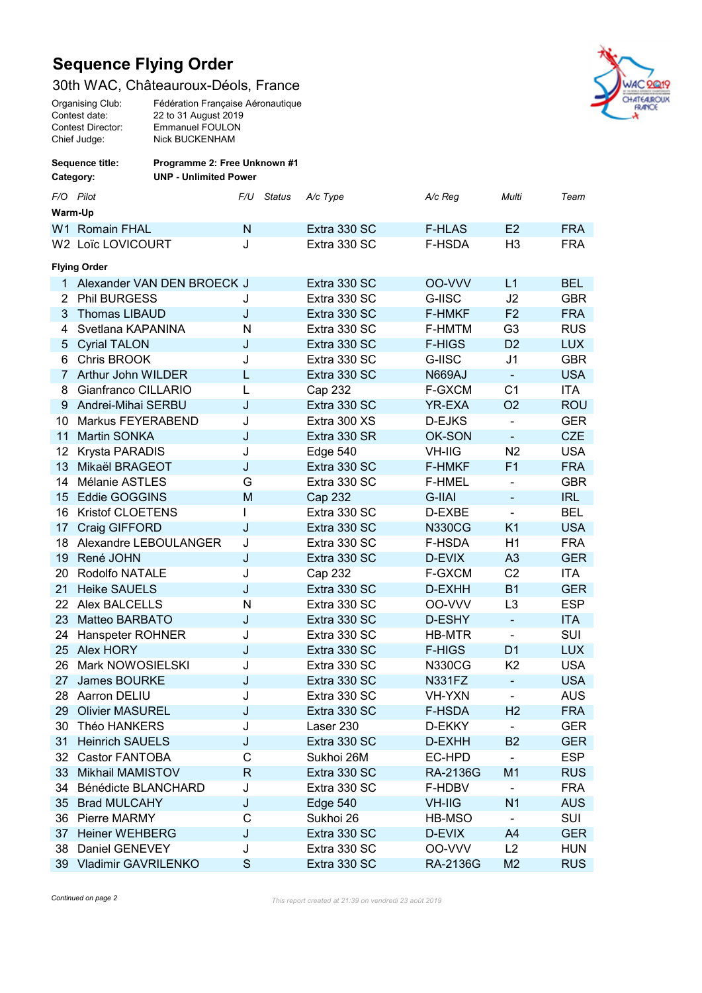## Sequence Flying Order

## 30th WAC, Châteauroux-Déols, France

| Fédération Française Aéronautique |
|-----------------------------------|
| 22 to 31 August 2019              |
| <b>Emmanuel FOULON</b>            |
| <b>Nick BUCKENHAM</b>             |
|                                   |



| <b>Sequence title:</b><br>Category: |                         | Programme 2: Free Unknown #1<br><b>UNP - Unlimited Power</b> |              |               |              |               |                          |            |  |  |  |
|-------------------------------------|-------------------------|--------------------------------------------------------------|--------------|---------------|--------------|---------------|--------------------------|------------|--|--|--|
|                                     | F/O Pilot               |                                                              | F/U          | <b>Status</b> | A/c Type     | A/c Reg       | Multi                    | Team       |  |  |  |
| Warm-Up                             |                         |                                                              |              |               |              |               |                          |            |  |  |  |
|                                     | W1 Romain FHAL          |                                                              | N            |               | Extra 330 SC | <b>F-HLAS</b> | E2                       | <b>FRA</b> |  |  |  |
|                                     | W2 Loïc LOVICOURT       |                                                              | J            |               | Extra 330 SC | F-HSDA        | H <sub>3</sub>           | <b>FRA</b> |  |  |  |
| <b>Flying Order</b>                 |                         |                                                              |              |               |              |               |                          |            |  |  |  |
| 1.                                  |                         | Alexander VAN DEN BROECK J                                   |              |               | Extra 330 SC | OO-VVV        | L1                       | <b>BEL</b> |  |  |  |
| 2                                   | <b>Phil BURGESS</b>     |                                                              | J            |               | Extra 330 SC | G-IISC        | J2                       | <b>GBR</b> |  |  |  |
| 3                                   | <b>Thomas LIBAUD</b>    |                                                              | J            |               | Extra 330 SC | <b>F-HMKF</b> | F <sub>2</sub>           | <b>FRA</b> |  |  |  |
| 4                                   | Svetlana KAPANINA       |                                                              | N            |               | Extra 330 SC | F-HMTM        | G <sub>3</sub>           | <b>RUS</b> |  |  |  |
| $5\overline{)}$                     | <b>Cyrial TALON</b>     |                                                              | J            |               | Extra 330 SC | <b>F-HIGS</b> | D <sub>2</sub>           | <b>LUX</b> |  |  |  |
| 6.                                  | Chris BROOK             |                                                              | J            |               | Extra 330 SC | G-IISC        | J <sub>1</sub>           | <b>GBR</b> |  |  |  |
|                                     | 7 Arthur John WILDER    |                                                              | L            |               | Extra 330 SC | <b>N669AJ</b> | $\equiv$                 | <b>USA</b> |  |  |  |
| 8                                   | Gianfranco CILLARIO     |                                                              | L            |               | Cap 232      | F-GXCM        | C <sub>1</sub>           | <b>ITA</b> |  |  |  |
| 9                                   | Andrei-Mihai SERBU      |                                                              | J            |               | Extra 330 SC | YR-EXA        | O <sub>2</sub>           | <b>ROU</b> |  |  |  |
| 10                                  | Markus FEYERABEND       |                                                              | J            |               | Extra 300 XS | D-EJKS        | $\blacksquare$           | <b>GER</b> |  |  |  |
| 11                                  | <b>Martin SONKA</b>     |                                                              | J            |               | Extra 330 SR | OK-SON        | ÷,                       | <b>CZE</b> |  |  |  |
| 12                                  | Krysta PARADIS          |                                                              | J            |               | Edge 540     | <b>VH-IIG</b> | N <sub>2</sub>           | <b>USA</b> |  |  |  |
| 13                                  | Mikaël BRAGEOT          |                                                              | J            |               | Extra 330 SC | <b>F-HMKF</b> | F <sub>1</sub>           | <b>FRA</b> |  |  |  |
| 14                                  | Mélanie ASTLES          |                                                              | G            |               | Extra 330 SC | <b>F-HMEL</b> |                          | <b>GBR</b> |  |  |  |
| 15                                  | <b>Eddie GOGGINS</b>    |                                                              | M            |               | Cap 232      | <b>G-IIAI</b> | ۰                        | <b>IRL</b> |  |  |  |
| 16                                  | <b>Kristof CLOETENS</b> |                                                              | I            |               | Extra 330 SC | D-EXBE        | $\blacksquare$           | BEL        |  |  |  |
| 17                                  | Craig GIFFORD           |                                                              | J            |               | Extra 330 SC | <b>N330CG</b> | K <sub>1</sub>           | <b>USA</b> |  |  |  |
| 18                                  | Alexandre LEBOULANGER   |                                                              | J            |               | Extra 330 SC | F-HSDA        | H1                       | <b>FRA</b> |  |  |  |
| 19                                  | René JOHN               |                                                              | J            |               | Extra 330 SC | D-EVIX        | A <sub>3</sub>           | <b>GER</b> |  |  |  |
| 20                                  | Rodolfo NATALE          |                                                              | J            |               | Cap 232      | F-GXCM        | C <sub>2</sub>           | <b>ITA</b> |  |  |  |
| 21                                  | <b>Heike SAUELS</b>     |                                                              | J            |               | Extra 330 SC | D-EXHH        | <b>B1</b>                | <b>GER</b> |  |  |  |
| 22.                                 | Alex BALCELLS           |                                                              | N            |               | Extra 330 SC | OO-VVV        | L <sub>3</sub>           | <b>ESP</b> |  |  |  |
| 23                                  | Matteo BARBATO          |                                                              | J            |               | Extra 330 SC | D-ESHY        | $\blacksquare$           | <b>ITA</b> |  |  |  |
| 24                                  | Hanspeter ROHNER        |                                                              | J            |               | Extra 330 SC | HB-MTR        | $\frac{1}{2}$            | SUI        |  |  |  |
| 25                                  | Alex HORY               |                                                              | J            |               | Extra 330 SC | <b>F-HIGS</b> | D <sub>1</sub>           | <b>LUX</b> |  |  |  |
| 26                                  | Mark NOWOSIELSKI        |                                                              | J            |               | Extra 330 SC | N330CG        | K <sub>2</sub>           | <b>USA</b> |  |  |  |
| 27                                  | James BOURKE            |                                                              | J            |               | Extra 330 SC | <b>N331FZ</b> |                          | <b>USA</b> |  |  |  |
|                                     | 28 Aarron DELIU         |                                                              | J            |               | Extra 330 SC | <b>VH-YXN</b> | $\overline{\phantom{0}}$ | <b>AUS</b> |  |  |  |
| 29                                  | <b>Olivier MASUREL</b>  |                                                              | J            |               | Extra 330 SC | F-HSDA        | H <sub>2</sub>           | <b>FRA</b> |  |  |  |
| 30                                  | Théo HANKERS            |                                                              | J            |               | Laser 230    | D-EKKY        | ÷,                       | <b>GER</b> |  |  |  |
| 31                                  | <b>Heinrich SAUELS</b>  |                                                              | J            |               | Extra 330 SC | D-EXHH        | <b>B2</b>                | <b>GER</b> |  |  |  |
| 32                                  | Castor FANTOBA          |                                                              | C            |               | Sukhoi 26M   | EC-HPD        | $\overline{\phantom{0}}$ | <b>ESP</b> |  |  |  |
| 33                                  | <b>Mikhail MAMISTOV</b> |                                                              | $\mathsf{R}$ |               | Extra 330 SC | RA-2136G      | M1                       | <b>RUS</b> |  |  |  |
| 34                                  | Bénédicte BLANCHARD     |                                                              | J            |               | Extra 330 SC | F-HDBV        | -                        | <b>FRA</b> |  |  |  |
| 35                                  | <b>Brad MULCAHY</b>     |                                                              | J            |               | Edge 540     | <b>VH-IIG</b> | N <sub>1</sub>           | <b>AUS</b> |  |  |  |
| 36                                  | Pierre MARMY            |                                                              | С            |               | Sukhoi 26    | HB-MSO        | $\blacksquare$           | SUI        |  |  |  |
| 37                                  | <b>Heiner WEHBERG</b>   |                                                              | J            |               | Extra 330 SC | D-EVIX        | A4                       | <b>GER</b> |  |  |  |
| 38                                  | Daniel GENEVEY          |                                                              | J            |               | Extra 330 SC | OO-VVV        | L2                       | <b>HUN</b> |  |  |  |
|                                     | 39 Vladimir GAVRILENKO  |                                                              | S            |               | Extra 330 SC | RA-2136G      | M <sub>2</sub>           | <b>RUS</b> |  |  |  |